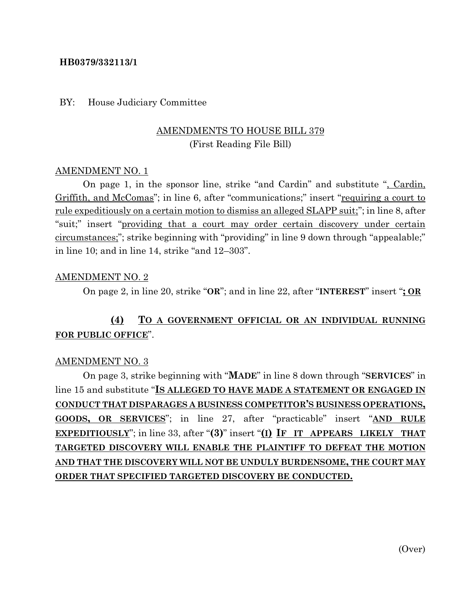#### **HB0379/332113/1**

#### BY: House Judiciary Committee

## AMENDMENTS TO HOUSE BILL 379 (First Reading File Bill)

#### AMENDMENT NO. 1

On page 1, in the sponsor line, strike "and Cardin" and substitute ", Cardin, Griffith, and McComas"; in line 6, after "communications;" insert "requiring a court to rule expeditiously on a certain motion to dismiss an alleged SLAPP suit;"; in line 8, after "suit;" insert "providing that a court may order certain discovery under certain circumstances;"; strike beginning with "providing" in line 9 down through "appealable;" in line 10; and in line 14, strike "and 12–303".

#### AMENDMENT NO. 2

On page 2, in line 20, strike "**OR**"; and in line 22, after "**INTEREST**" insert "**; OR**

# **(4) TO A GOVERNMENT OFFICIAL OR AN INDIVIDUAL RUNNING FOR PUBLIC OFFICE**".

#### AMENDMENT NO. 3

On page 3, strike beginning with "**MADE**" in line 8 down through "**SERVICES**" in line 15 and substitute "**IS ALLEGED TO HAVE MADE A STATEMENT OR ENGAGED IN CONDUCT THAT DISPARAGES A BUSINESS COMPETITOR'S BUSINESS OPERATIONS, GOODS, OR SERVICES**"; in line 27, after "practicable" insert "**AND RULE EXPEDITIOUSLY**"; in line 33, after "**(3)**" insert "**(I) IF IT APPEARS LIKELY THAT TARGETED DISCOVERY WILL ENABLE THE PLAINTIFF TO DEFEAT THE MOTION AND THAT THE DISCOVERY WILL NOT BE UNDULY BURDENSOME, THE COURT MAY ORDER THAT SPECIFIED TARGETED DISCOVERY BE CONDUCTED.**